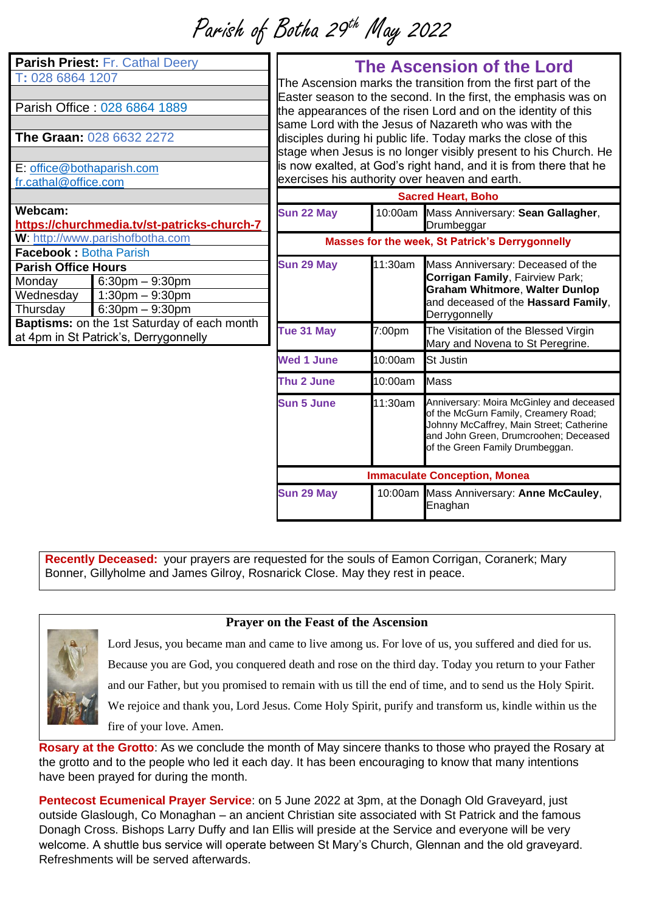Parish of Botha 29 th May 2022

| <b>Parish Priest: Fr. Cathal Deery</b><br>T: 028 6864 1207<br>Parish Office: 028 6864 1889<br><b>The Graan: 028 6632 2272</b><br>E: office@bothaparish.com<br>fr.cathal@office.com |                                                                      | <b>The Ascension of the Lord</b><br>The Ascension marks the transition from the first part of the<br>Easter season to the second. In the first, the emphasis was on<br>the appearances of the risen Lord and on the identity of this<br>same Lord with the Jesus of Nazareth who was with the<br>disciples during hi public life. Today marks the close of this<br>stage when Jesus is no longer visibly present to his Church. He<br>is now exalted, at God's right hand, and it is from there that he<br>exercises his authority over heaven and earth. |         |                                                                                                                                                                                                          |
|------------------------------------------------------------------------------------------------------------------------------------------------------------------------------------|----------------------------------------------------------------------|-----------------------------------------------------------------------------------------------------------------------------------------------------------------------------------------------------------------------------------------------------------------------------------------------------------------------------------------------------------------------------------------------------------------------------------------------------------------------------------------------------------------------------------------------------------|---------|----------------------------------------------------------------------------------------------------------------------------------------------------------------------------------------------------------|
|                                                                                                                                                                                    |                                                                      | <b>Sacred Heart, Boho</b>                                                                                                                                                                                                                                                                                                                                                                                                                                                                                                                                 |         |                                                                                                                                                                                                          |
| Webcam:<br>https://churchmedia.tv/st-patricks-church-7                                                                                                                             |                                                                      | Sun 22 May                                                                                                                                                                                                                                                                                                                                                                                                                                                                                                                                                |         | 10:00am Mass Anniversary: Sean Gallagher,<br>Drumbeggar                                                                                                                                                  |
| W: http://www.parishofbotha.com<br><b>Facebook: Botha Parish</b>                                                                                                                   |                                                                      | Masses for the week, St Patrick's Derrygonnelly                                                                                                                                                                                                                                                                                                                                                                                                                                                                                                           |         |                                                                                                                                                                                                          |
| <b>Parish Office Hours</b><br>Monday<br>Wednesday<br>Thursday                                                                                                                      | $6:30$ pm $-9:30$ pm<br>$1:30$ pm $-9:30$ pm<br>$6:30$ pm $-9:30$ pm | Sun 29 May                                                                                                                                                                                                                                                                                                                                                                                                                                                                                                                                                | 11:30am | Mass Anniversary: Deceased of the<br>Corrigan Family, Fairview Park;<br><b>Graham Whitmore, Walter Dunlop</b><br>and deceased of the Hassard Family,<br>Derrygonnelly                                    |
| Baptisms: on the 1st Saturday of each month<br>at 4pm in St Patrick's, Derrygonnelly                                                                                               |                                                                      | Tue 31 May                                                                                                                                                                                                                                                                                                                                                                                                                                                                                                                                                | 7:00pm  | The Visitation of the Blessed Virgin<br>Mary and Novena to St Peregrine.                                                                                                                                 |
|                                                                                                                                                                                    |                                                                      | <b>Wed 1 June</b>                                                                                                                                                                                                                                                                                                                                                                                                                                                                                                                                         | 10:00am | <b>St Justin</b>                                                                                                                                                                                         |
|                                                                                                                                                                                    |                                                                      | Thu 2 June                                                                                                                                                                                                                                                                                                                                                                                                                                                                                                                                                | 10:00am | <b>Mass</b>                                                                                                                                                                                              |
|                                                                                                                                                                                    |                                                                      | <b>Sun 5 June</b>                                                                                                                                                                                                                                                                                                                                                                                                                                                                                                                                         | 11:30am | Anniversary: Moira McGinley and deceased<br>of the McGurn Family, Creamery Road;<br>Johnny McCaffrey, Main Street; Catherine<br>and John Green, Drumcroohen; Deceased<br>of the Green Family Drumbeggan. |
|                                                                                                                                                                                    |                                                                      | <b>Immaculate Conception, Monea</b>                                                                                                                                                                                                                                                                                                                                                                                                                                                                                                                       |         |                                                                                                                                                                                                          |
|                                                                                                                                                                                    |                                                                      | <b>Sun 29 May</b>                                                                                                                                                                                                                                                                                                                                                                                                                                                                                                                                         |         | 10:00am Mass Anniversary: Anne McCauley,                                                                                                                                                                 |

**Recently Deceased:** your prayers are requested for the souls of Eamon Corrigan, Coranerk; Mary Bonner, Gillyholme and James Gilroy, Rosnarick Close. May they rest in peace.

## **Prayer on the Feast of the Ascension**



Lord Jesus, you became man and came to live among us. For love of us, you suffered and died for us.

Enaghan

Because you are God, you conquered death and rose on the third day. Today you return to your Father

and our Father, but you promised to remain with us till the end of time, and to send us the Holy Spirit.

We rejoice and thank you, Lord Jesus. Come Holy Spirit, purify and transform us, kindle within us the

fire of your love. Amen.

**Rosary at the Grotto**: As we conclude the month of May sincere thanks to those who prayed the Rosary at the grotto and to the people who led it each day. It has been encouraging to know that many intentions have been prayed for during the month.

**Pentecost Ecumenical Prayer Service**: on 5 June 2022 at 3pm, at the Donagh Old Graveyard, just outside Glaslough, Co Monaghan – an ancient Christian site associated with St Patrick and the famous Donagh Cross. Bishops Larry Duffy and Ian Ellis will preside at the Service and everyone will be very welcome. A shuttle bus service will operate between St Mary's Church, Glennan and the old graveyard. Refreshments will be served afterwards.